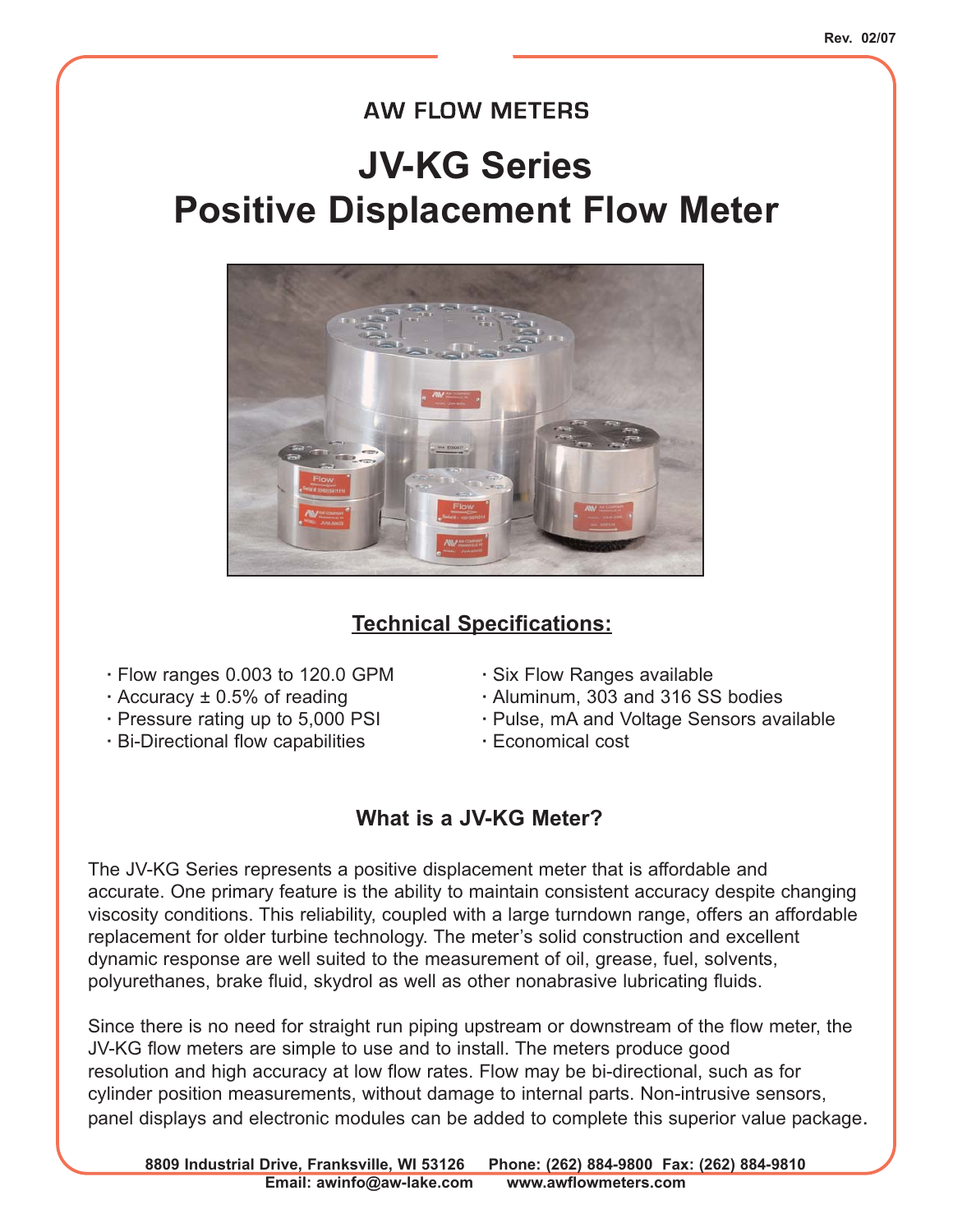### **AW FLOW METERS**

## **JV-KG Series Positive Displacement Flow Meter**



#### **Technical Specifications:**

- **·** Flow ranges 0.003 to 120.0 GPM **·** Six Flow Ranges available
- 
- 
- **·** Bi-Directional flow capabilities **·** Economical cost
- 
- **·** Accuracy ± 0.5% of reading **·** Aluminum, 303 and 316 SS bodies
- **·** Pressure rating up to 5,000 PSI **·** Pulse, mA and Voltage Sensors available
	-

#### **What is a JV-KG Meter?**

The JV-KG Series represents a positive displacement meter that is affordable and accurate. One primary feature is the ability to maintain consistent accuracy despite changing viscosity conditions. This reliability, coupled with a large turndown range, offers an affordable replacement for older turbine technology. The meter's solid construction and excellent dynamic response are well suited to the measurement of oil, grease, fuel, solvents, polyurethanes, brake fluid, skydrol as well as other nonabrasive lubricating fluids.

Since there is no need for straight run piping upstream or downstream of the flow meter, the JV-KG flow meters are simple to use and to install. The meters produce good resolution and high accuracy at low flow rates. Flow may be bi-directional, such as for cylinder position measurements, without damage to internal parts. Non-intrusive sensors, panel displays and electronic modules can be added to complete this superior value package.